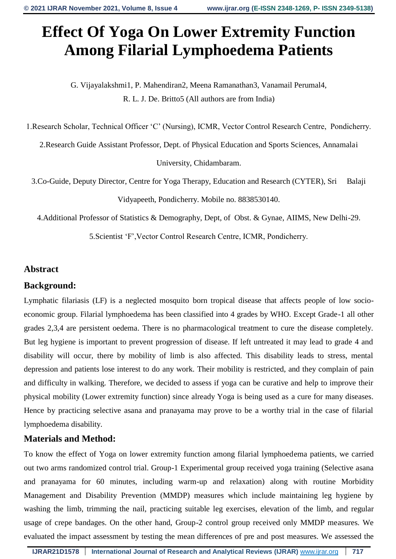# **Effect Of Yoga On Lower Extremity Function Among Filarial Lymphoedema Patients**

G. Vijayalakshmi1, P. Mahendiran2, Meena Ramanathan3, Vanamail Perumal4, R. L. J. De. Britto5 (All authors are from India)

1.Research Scholar, Technical Officer 'C' (Nursing), ICMR, Vector Control Research Centre, Pondicherry.

2.Research Guide Assistant Professor, Dept. of Physical Education and Sports Sciences, Annamalai

University, Chidambaram.

3.Co-Guide, Deputy Director, Centre for Yoga Therapy, Education and Research (CYTER), Sri Balaji Vidyapeeth, Pondicherry. Mobile no. 8838530140.

4.Additional Professor of Statistics & Demography, Dept, of Obst. & Gynae, AIIMS, New Delhi-29.

5.Scientist 'F',Vector Control Research Centre, ICMR, Pondicherry.

# **Abstract**

# **Background:**

Lymphatic filariasis (LF) is a neglected mosquito born tropical disease that affects people of low socioeconomic group. Filarial lymphoedema has been classified into 4 grades by WHO. Except Grade-1 all other grades 2,3,4 are persistent oedema. There is no pharmacological treatment to cure the disease completely. But leg hygiene is important to prevent progression of disease. If left untreated it may lead to grade 4 and disability will occur, there by mobility of limb is also affected. This disability leads to stress, mental depression and patients lose interest to do any work. Their mobility is restricted, and they complain of pain and difficulty in walking. Therefore, we decided to assess if yoga can be curative and help to improve their physical mobility (Lower extremity function) since already Yoga is being used as a cure for many diseases. Hence by practicing selective asana and pranayama may prove to be a worthy trial in the case of filarial lymphoedema disability.

# **Materials and Method:**

To know the effect of Yoga on lower extremity function among filarial lymphoedema patients, we carried out two arms randomized control trial. Group-1 Experimental group received yoga training (Selective asana and pranayama for 60 minutes, including warm-up and relaxation) along with routine Morbidity Management and Disability Prevention (MMDP) measures which include maintaining leg hygiene by washing the limb, trimming the nail, practicing suitable leg exercises, elevation of the limb, and regular usage of crepe bandages. On the other hand, Group-2 control group received only MMDP measures. We evaluated the impact assessment by testing the mean differences of pre and post measures. We assessed the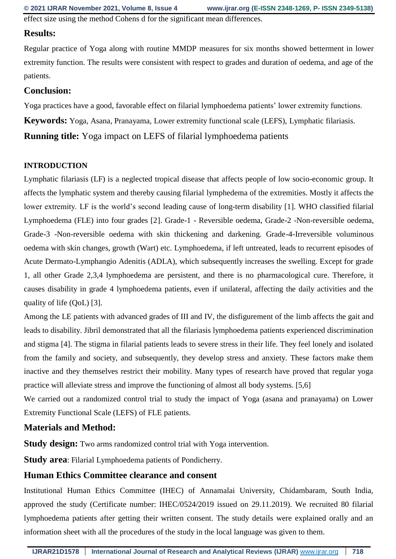effect size using the method Cohens d for the significant mean differences.

#### **Results:**

Regular practice of Yoga along with routine MMDP measures for six months showed betterment in lower extremity function. The results were consistent with respect to grades and duration of oedema, and age of the patients.

#### **Conclusion:**

Yoga practices have a good, favorable effect on filarial lymphoedema patients' lower extremity functions.

**Keywords:** Yoga, Asana, Pranayama, Lower extremity functional scale (LEFS), Lymphatic filariasis.

**Running title:** Yoga impact on LEFS of filarial lymphoedema patients

#### **INTRODUCTION**

Lymphatic filariasis (LF) is a neglected tropical disease that affects people of low socio-economic group. It affects the lymphatic system and thereby causing filarial lymphedema of the extremities. Mostly it affects the lower extremity. LF is the world's second leading cause of long-term disability [1]. WHO classified filarial Lymphoedema (FLE) into four grades [2]. Grade-1 - Reversible oedema, Grade-2 -Non-reversible oedema, Grade-3 -Non-reversible oedema with skin thickening and darkening. Grade-4-Irreversible voluminous oedema with skin changes, growth (Wart) etc. Lymphoedema, if left untreated, leads to recurrent episodes of Acute Dermato-Lymphangio Adenitis (ADLA), which subsequently increases the swelling. Except for grade 1, all other Grade 2,3,4 lymphoedema are persistent, and there is no pharmacological cure. Therefore, it causes disability in grade 4 lymphoedema patients, even if unilateral, affecting the daily activities and the quality of life (QoL) [3].

Among the LE patients with advanced grades of III and IV, the disfigurement of the limb affects the gait and leads to disability. Jibril demonstrated that all the filariasis lymphoedema patients experienced discrimination and stigma [4]. The stigma in filarial patients leads to severe stress in their life. They feel lonely and isolated from the family and society, and subsequently, they develop stress and anxiety. These factors make them inactive and they themselves restrict their mobility. Many types of research have proved that regular yoga practice will alleviate stress and improve the functioning of almost all body systems. [5,6]

We carried out a randomized control trial to study the impact of Yoga (asana and pranayama) on Lower Extremity Functional Scale (LEFS) of FLE patients.

#### **Materials and Method:**

**Study design:** Two arms randomized control trial with Yoga intervention.

**Study area**: Filarial Lymphoedema patients of Pondicherry.

#### **Human Ethics Committee clearance and consent**

Institutional Human Ethics Committee (IHEC) of Annamalai University, Chidambaram, South India, approved the study (Certificate number: IHEC/0524/2019 issued on 29.11.2019). We recruited 80 filarial lymphoedema patients after getting their written consent. The study details were explained orally and an information sheet with all the procedures of the study in the local language was given to them.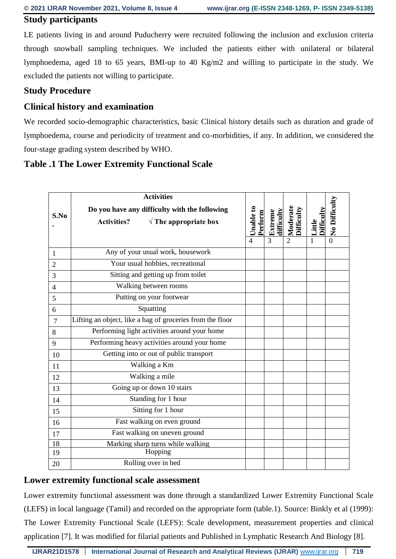#### **Study participants**

LE patients living in and around Puducherry were recruited following the inclusion and exclusion criteria through snowball sampling techniques. We included the patients either with unilateral or bilateral lymphoedema, aged 18 to 65 years, BMI-up to 40 Kg/m2 and willing to participate in the study. We excluded the patients not willing to participate.

### **Study Procedure**

# **Clinical history and examination**

We recorded socio-demographic characteristics, basic Clinical history details such as duration and grade of lymphoedema, course and periodicity of treatment and co-morbidities, if any. In addition, we considered the four-stage grading system described by WHO.

# **Table .1 The Lower Extremity Functional Scale**

| S.No           | <b>Activities</b>                                                                                      |                      |                            |                                          |                      |                           |
|----------------|--------------------------------------------------------------------------------------------------------|----------------------|----------------------------|------------------------------------------|----------------------|---------------------------|
|                | Do you have any difficulty with the following<br>$\sqrt{\ }$ The appropriate box<br><b>Activities?</b> | Unable to<br>Perform | difficulty<br>Extreme<br>3 | Moderate<br>Difficulty<br>$\overline{2}$ | Difficulty<br>Little | No Difficulty<br>$\Omega$ |
| 1              | Any of your usual work, housework                                                                      |                      |                            |                                          |                      |                           |
| $\overline{2}$ | Your usual hobbies, recreational                                                                       |                      |                            |                                          |                      |                           |
| 3              | Sitting and getting up from toilet                                                                     |                      |                            |                                          |                      |                           |
| $\overline{4}$ | Walking between rooms                                                                                  |                      |                            |                                          |                      |                           |
| 5              | Putting on your footwear                                                                               |                      |                            |                                          |                      |                           |
| 6              | Squatting                                                                                              |                      |                            |                                          |                      |                           |
| 7              | Lifting an object, like a bag of groceries from the floor                                              |                      |                            |                                          |                      |                           |
| 8              | Performing light activities around your home                                                           |                      |                            |                                          |                      |                           |
| 9              | Performing heavy activities around your home                                                           |                      |                            |                                          |                      |                           |
| 10             | Getting into or out of public transport                                                                |                      |                            |                                          |                      |                           |
| 11             | Walking a Km                                                                                           |                      |                            |                                          |                      |                           |
| 12             | Walking a mile                                                                                         |                      |                            |                                          |                      |                           |
| 13             | Going up or down 10 stairs                                                                             |                      |                            |                                          |                      |                           |
| 14             | Standing for 1 hour                                                                                    |                      |                            |                                          |                      |                           |
| 15             | Sitting for 1 hour                                                                                     |                      |                            |                                          |                      |                           |
| 16             | Fast walking on even ground                                                                            |                      |                            |                                          |                      |                           |
| 17             | Fast walking on uneven ground                                                                          |                      |                            |                                          |                      |                           |
| 18<br>19       | Marking sharp turns while walking<br>Hopping                                                           |                      |                            |                                          |                      |                           |
| 20             | Rolling over in bed                                                                                    |                      |                            |                                          |                      |                           |

#### **Lower extremity functional scale assessment**

Lower extremity functional assessment was done through a standardized Lower Extremity Functional Scale (LEFS) in local language (Tamil) and recorded on the appropriate form (table.1). Source: Binkly et al (1999): The Lower Extremity Functional Scale (LEFS): Scale development, measurement properties and clinical application [7]. It was modified for filarial patients and Published in Lymphatic Research And Biology [8].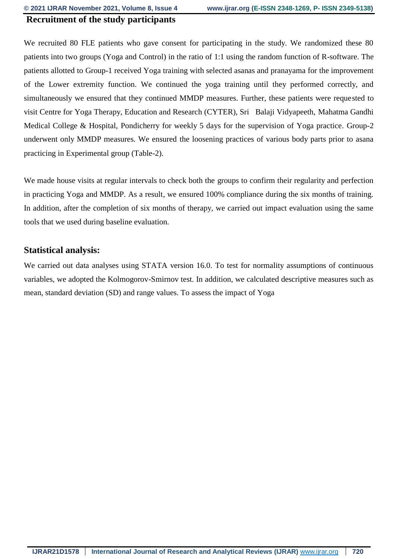#### **Recruitment of the study participants**

We recruited 80 FLE patients who gave consent for participating in the study. We randomized these 80 patients into two groups (Yoga and Control) in the ratio of 1:1 using the random function of R-software. The patients allotted to Group-1 received Yoga training with selected asanas and pranayama for the improvement of the Lower extremity function. We continued the yoga training until they performed correctly, and simultaneously we ensured that they continued MMDP measures. Further, these patients were requested to visit Centre for Yoga Therapy, Education and Research (CYTER), Sri Balaji Vidyapeeth, Mahatma Gandhi Medical College & Hospital, Pondicherry for weekly 5 days for the supervision of Yoga practice. Group-2 underwent only MMDP measures. We ensured the loosening practices of various body parts prior to asana practicing in Experimental group (Table-2).

We made house visits at regular intervals to check both the groups to confirm their regularity and perfection in practicing Yoga and MMDP. As a result, we ensured 100% compliance during the six months of training. In addition, after the completion of six months of therapy, we carried out impact evaluation using the same tools that we used during baseline evaluation.

#### **Statistical analysis:**

We carried out data analyses using STATA version 16.0. To test for normality assumptions of continuous variables, we adopted the Kolmogorov-Smirnov test. In addition, we calculated descriptive measures such as mean, standard deviation (SD) and range values. To assess the impact of Yoga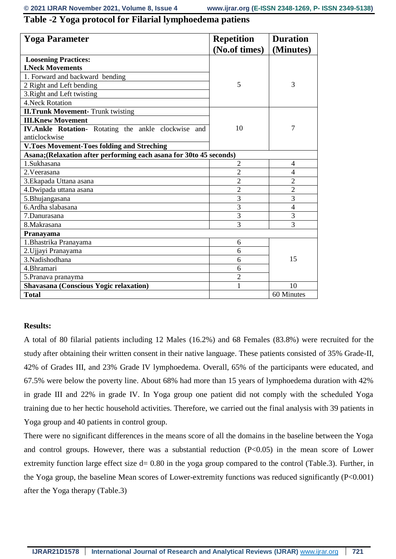# **Table -2 Yoga protocol for Filarial lymphoedema patiens**

| <b>Yoga Parameter</b>                                               | <b>Repetition</b> | <b>Duration</b> |  |
|---------------------------------------------------------------------|-------------------|-----------------|--|
|                                                                     | (No.of times)     | (Minutes)       |  |
| <b>Loosening Practices:</b>                                         |                   |                 |  |
| <b>I.Neck Movements</b>                                             |                   |                 |  |
| 1. Forward and backward bending                                     |                   |                 |  |
| 2 Right and Left bending                                            | 5                 | 3               |  |
| 3. Right and Left twisting                                          |                   |                 |  |
| 4. Neck Rotation                                                    |                   |                 |  |
| <b>II.Trunk Movement- Trunk twisting</b>                            |                   |                 |  |
| <b>III.Knew Movement</b>                                            |                   |                 |  |
| <b>IV.Ankle Rotation-</b> Rotating the ankle clockwise and          | 10                | 7               |  |
| anticlockwise                                                       |                   |                 |  |
| <b>V.Toes Movement-Toes folding and Streching</b>                   |                   |                 |  |
| Asana; (Relaxation after performing each asana for 30to 45 seconds) |                   |                 |  |
| 1.Sukhasana                                                         | $\overline{2}$    | 4               |  |
| 2. Veerasana                                                        | $\overline{2}$    | $\overline{4}$  |  |
| 3. Ekapada Uttana asana                                             | $\overline{2}$    | $\overline{2}$  |  |
| 4. Dwipada uttana asana                                             | $\overline{2}$    | $\overline{2}$  |  |
| 5. Bhujangasana                                                     | 3                 | 3               |  |
| 6. Ardha slabasana                                                  | 3                 | $\overline{4}$  |  |
| 7.Danurasana                                                        | 3                 | 3               |  |
| 8.Makrasana                                                         | 3                 | 3               |  |
| Pranayama                                                           |                   |                 |  |
| 1. Bhastrika Pranayama                                              | 6                 |                 |  |
| 2. Ujjayi Pranayama                                                 | 6                 |                 |  |
| 3.Nadishodhana                                                      | 6                 | 15              |  |
| 4.Bhramari                                                          | 6                 |                 |  |
| 5. Pranava pranayma                                                 | $\overline{2}$    |                 |  |
| <b>Shavasana (Conscious Yogic relaxation)</b>                       | 1                 | 10              |  |
| <b>Total</b>                                                        |                   | 60 Minutes      |  |

#### **Results:**

A total of 80 filarial patients including 12 Males (16.2%) and 68 Females (83.8%) were recruited for the study after obtaining their written consent in their native language. These patients consisted of 35% Grade-II, 42% of Grades III, and 23% Grade IV lymphoedema. Overall, 65% of the participants were educated, and 67.5% were below the poverty line. About 68% had more than 15 years of lymphoedema duration with 42% in grade III and 22% in grade IV. In Yoga group one patient did not comply with the scheduled Yoga training due to her hectic household activities. Therefore, we carried out the final analysis with 39 patients in Yoga group and 40 patients in control group.

There were no significant differences in the means score of all the domains in the baseline between the Yoga and control groups. However, there was a substantial reduction  $(P<0.05)$  in the mean score of Lower extremity function large effect size d= 0.80 in the yoga group compared to the control (Table.3). Further, in the Yoga group, the baseline Mean scores of Lower-extremity functions was reduced significantly (P<0.001) after the Yoga therapy (Table.3)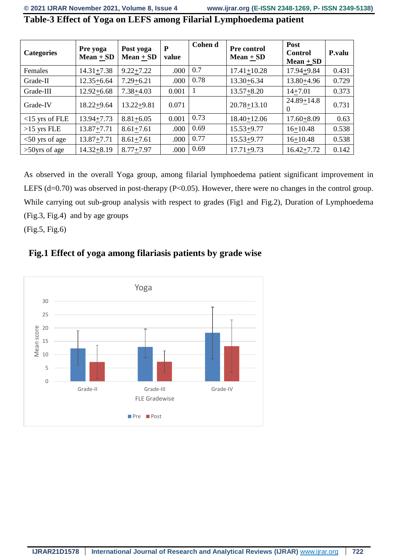| <b>Categories</b> | Pre yoga<br>$Mean + SD$ | Post yoga<br>Mean $+$ SD | P<br>value | Cohen d | <b>Pre control</b><br>Mean $+$ SD | Post<br><b>Control</b><br>$Mean + SD$ | P.valu |
|-------------------|-------------------------|--------------------------|------------|---------|-----------------------------------|---------------------------------------|--------|
| <b>Females</b>    | $14.31 + 7.38$          | $9.22 + 7.22$            | .000       | 0.7     | $17.41 + 10.28$                   | 17.94+9.84                            | 0.431  |
| Grade-II          | $12.35 + 6.64$          | $7.29 + 6.21$            | .000       | 0.78    | $13.30 + 6.34$                    | 13.80+4.96                            | 0.729  |
| Grade-III         | $12.92 + 6.68$          | $7.38 + 4.03$            | 0.001      |         | $13.57 + 8.20$                    | $14 + 7.01$                           | 0.373  |
| Grade-IV          | $18.22 + 9.64$          | $13.22 + 9.81$           | 0.071      |         | $20.78 + 13.10$                   | $24.89 + 14.8$<br>$\theta$            | 0.731  |
| $<$ 15 yrs of FLE | $13.94 + 7.73$          | $8.81 + 6.05$            | 0.001      | 0.73    | $18.40 + 12.06$                   | $17.60 + 8.09$                        | 0.63   |
| $>15$ yrs FLE     | $13.87 + 7.71$          | $8.61 + 7.61$            | .000       | 0.69    | $15.53 + 9.77$                    | $16+10.48$                            | 0.538  |
| $<$ 50 yrs of age | $13.87 + 7.71$          | $8.61 + 7.61$            | .000       | 0.77    | $15.53 + 9.77$                    | $16+10.48$                            | 0.538  |
| $>50$ yrs of age  | $14.32 + 8.19$          | $8.77 + 7.97$            | .000       | 0.69    | $17.71 + 9.73$                    | $16.42 + 7.72$                        | 0.142  |

**Table-3 Effect of Yoga on LEFS among Filarial Lymphoedema patient**

As observed in the overall Yoga group, among filarial lymphoedema patient significant improvement in LEFS (d=0.70) was observed in post-therapy (P<0.05). However, there were no changes in the control group. While carrying out sub-group analysis with respect to grades (Fig1 and Fig.2), Duration of Lymphoedema (Fig.3, Fig.4) and by age groups

(Fig.5, Fig.6)

# **Fig.1 Effect of yoga among filariasis patients by grade wise**

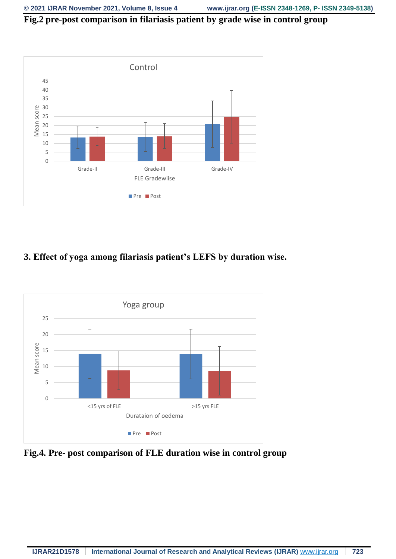# **Fig.2 pre-post comparison in filariasis patient by grade wise in control group**



# **3. Effect of yoga among filariasis patient's LEFS by duration wise.**



**Fig.4. Pre- post comparison of FLE duration wise in control group**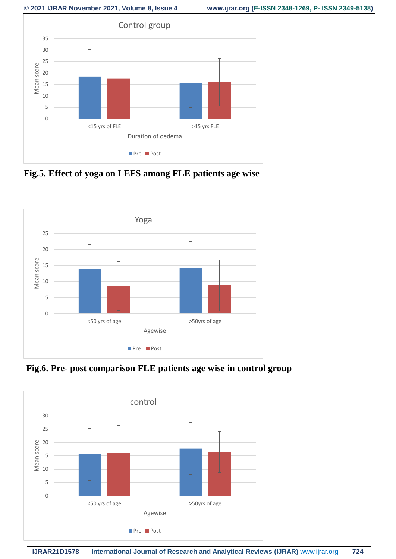

**Fig.5. Effect of yoga on LEFS among FLE patients age wise** 



**Fig.6. Pre- post comparison FLE patients age wise in control group**

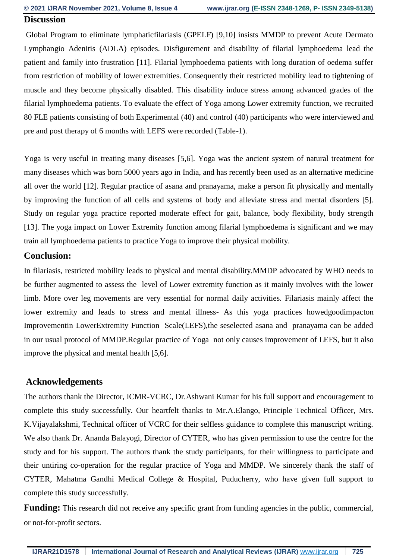#### **Discussion**

Global Program to eliminate lymphaticfilariasis (GPELF) [9,10] insists MMDP to prevent Acute Dermato Lymphangio Adenitis (ADLA) episodes. Disfigurement and disability of filarial lymphoedema lead the patient and family into frustration [11]. Filarial lymphoedema patients with long duration of oedema suffer from restriction of mobility of lower extremities. Consequently their restricted mobility lead to tightening of muscle and they become physically disabled. This disability induce stress among advanced grades of the filarial lymphoedema patients. To evaluate the effect of Yoga among Lower extremity function, we recruited 80 FLE patients consisting of both Experimental (40) and control (40) participants who were interviewed and pre and post therapy of 6 months with LEFS were recorded (Table-1).

Yoga is very useful in treating many diseases [5,6]. Yoga was the ancient system of natural treatment for many diseases which was born 5000 years ago in India, and has recently been used as an alternative medicine all over the world [12]. Regular practice of asana and pranayama, make a person fit physically and mentally by improving the function of all cells and systems of body and alleviate stress and mental disorders [5]. Study on regular yoga practice reported moderate effect for gait, balance, body flexibility, body strength [13]. The yoga impact on Lower Extremity function among filarial lymphoedema is significant and we may train all lymphoedema patients to practice Yoga to improve their physical mobility.

#### **Conclusion:**

In filariasis, restricted mobility leads to physical and mental disability.MMDP advocated by WHO needs to be further augmented to assess the level of Lower extremity function as it mainly involves with the lower limb. More over leg movements are very essential for normal daily activities. Filariasis mainly affect the lower extremity and leads to stress and mental illness- As this yoga practices howedgoodimpacton Improvementin LowerExtremity Function Scale(LEFS),the seselected asana and pranayama can be added in our usual protocol of MMDP.Regular practice of Yoga not only causes improvement of LEFS, but it also improve the physical and mental health [5,6].

#### **Acknowledgements**

The authors thank the Director, ICMR-VCRC, Dr.Ashwani Kumar for his full support and encouragement to complete this study successfully. Our heartfelt thanks to Mr.A.Elango, Principle Technical Officer, Mrs. K.Vijayalakshmi, Technical officer of VCRC for their selfless guidance to complete this manuscript writing. We also thank Dr. Ananda Balayogi, Director of CYTER, who has given permission to use the centre for the study and for his support. The authors thank the study participants, for their willingness to participate and their untiring co-operation for the regular practice of Yoga and MMDP. We sincerely thank the staff of CYTER, Mahatma Gandhi Medical College & Hospital, Puducherry, who have given full support to complete this study successfully.

**Funding:** This research did not receive any specific grant from funding agencies in the public, commercial, or not-for-profit sectors.